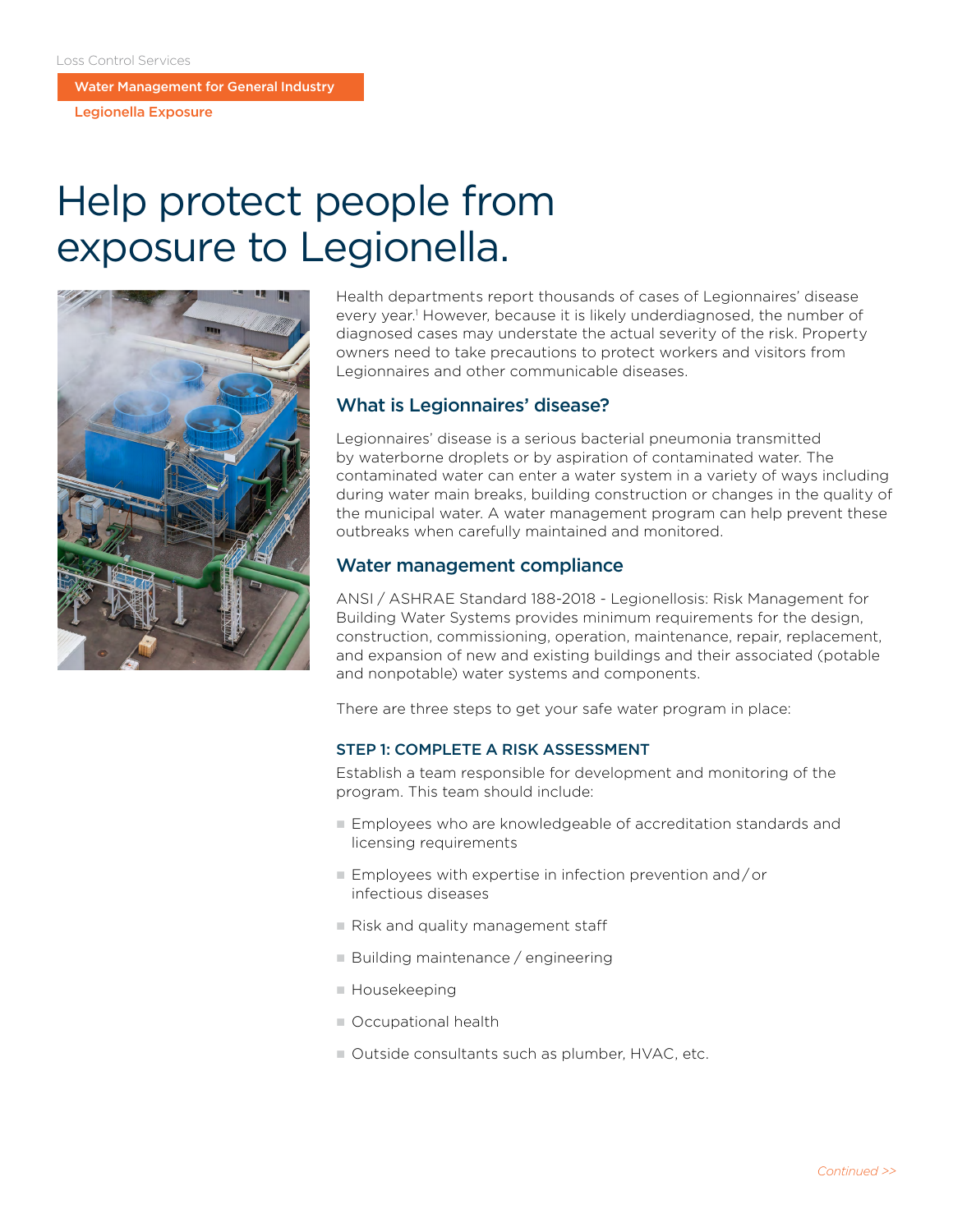Water Management for General Industry

Legionella Exposure

# Help protect people from exposure to Legionella.



Health departments report thousands of cases of Legionnaires' disease every year.<sup>1</sup> However, because it is likely underdiagnosed, the number of diagnosed cases may understate the actual severity of the risk. Property owners need to take precautions to protect workers and visitors from Legionnaires and other communicable diseases.

## What is Legionnaires' disease?

Legionnaires' disease is a serious bacterial pneumonia transmitted by waterborne droplets or by aspiration of contaminated water. The contaminated water can enter a water system in a variety of ways including during water main breaks, building construction or changes in the quality of the municipal water. A water management program can help prevent these outbreaks when carefully maintained and monitored.

## Water management compliance

ANSI  /  ASHRAE Standard 188-2018 - Legionellosis: Risk Management for Building Water Systems provides minimum requirements for the design, construction, commissioning, operation, maintenance, repair, replacement, and expansion of new and existing buildings and their associated (potable and nonpotable) water systems and components.

There are three steps to get your safe water program in place:

#### STEP 1: COMPLETE A RISK ASSESSMENT

Establish a team responsible for development and monitoring of the program. This team should include:

- Employees who are knowledgeable of accreditation standards and licensing requirements
- $\blacksquare$  Employees with expertise in infection prevention and/or infectious diseases
- $n$  Risk and quality management staff
- Building maintenance / engineering
- Housekeeping
- Occupational health
- Outside consultants such as plumber, HVAC, etc.